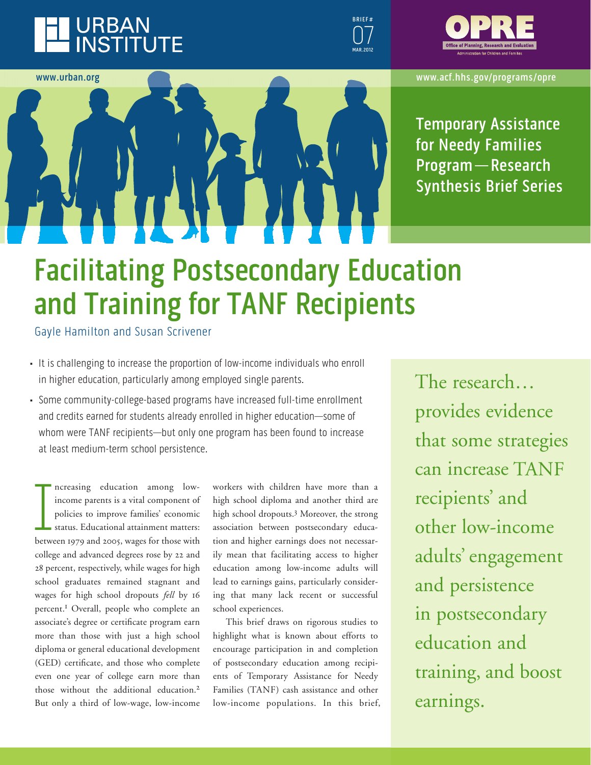





**www.urban.org www.acf.hhs.gov/programs/opre**

**Temporary Assistance for Needy families Program — research Synthesis brief Series**

# **Facilitating Postsecondary Education and Training for TANf recipients**

Gayle Hamilton and Susan Scrivener

- It is challenging to increase the proportion of low-income individuals who enroll in higher education, particularly among employed single parents.
- Some community-college-based programs have increased full-time enrollment and credits earned for students already enrolled in higher education—some of whom were TANF recipients—but only one program has been found to increase at least medium-term school persistence.

ncreasing education among low-<br>income parents is a vital component of<br>policies to improve families' economic<br>status. Educational attainment matters:<br>between 1979 and 2005, wages for those with ncreasing education among lowincome parents is a vital component of policies to improve families' economic status. Educational attainment matters: college and advanced degrees rose by 22 and 28 percent, respectively, while wages for high school graduates remained stagnant and wages for high school dropouts *fell* by 16 percent.1 Overall, people who complete an associate's degree or certificate program earn more than those with just a high school diploma or general educational development (GED) certificate, and those who complete even one year of college earn more than those without the additional education.2 But only a third of low-wage, low-income

workers with children have more than a high school diploma and another third are high school dropouts.<sup>3</sup> Moreover, the strong association between postsecondary education and higher earnings does not necessarily mean that facilitating access to higher education among low-income adults will lead to earnings gains, particularly considering that many lack recent or successful school experiences.

This brief draws on rigorous studies to highlight what is known about efforts to encourage participation in and completion of postsecondary education among recipients of Temporary Assistance for Needy Families (TANF) cash assistance and other low-income populations. In this brief, The research… provides evidence that some strategies can increase TANF recipients' and other low-income adults' engagement and persistence in postsecondary education and training, and boost earnings.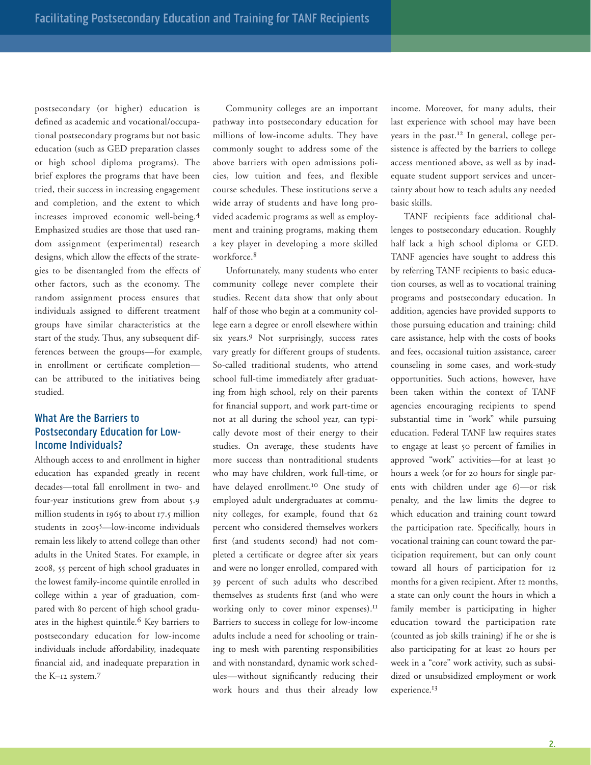postsecondary (or higher) education is defined as academic and vocational/occupational postsecondary programs but not basic education (such as GED preparation classes or high school diploma programs). The brief explores the programs that have been tried, their success in increasing engagement and completion, and the extent to which increases improved economic well-being.4 Emphasized studies are those that used random assignment (experimental) research designs, which allow the effects of the strategies to be disentangled from the effects of other factors, such as the economy. The random assignment process ensures that individuals assigned to different treatment groups have similar characteristics at the start of the study. Thus, any subsequent differences between the groups—for example, in enrollment or certificate completion can be attributed to the initiatives being studied.

# **What Are the barriers to Postsecondary Education for Lowincome individuals?**

Although access to and enrollment in higher education has expanded greatly in recent decades—total fall enrollment in two- and four-year institutions grew from about 5.9 million students in 1965 to about 17.5 million students in 20055—low-income individuals remain less likely to attend college than other adults in the United States. For example, in 2008, 55 percent of high school graduates in the lowest family-income quintile enrolled in college within a year of graduation, compared with 80 percent of high school graduates in the highest quintile.<sup>6</sup> Key barriers to postsecondary education for low-income individuals include affordability, inadequate financial aid, and inadequate preparation in the K–12 system.7

Community colleges are an important pathway into postsecondary education for millions of low-income adults. They have commonly sought to address some of the above barriers with open admissions policies, low tuition and fees, and flexible course schedules. These institutions serve a wide array of students and have long provided academic programs as well as employment and training programs, making them a key player in developing a more skilled workforce.8

Unfortunately, many students who enter community college never complete their studies. Recent data show that only about half of those who begin at a community college earn a degree or enroll elsewhere within six years.9 Not surprisingly, success rates vary greatly for different groups of students. So-called traditional students, who attend school full-time immediately after graduating from high school, rely on their parents for financial support, and work part-time or not at all during the school year, can typically devote most of their energy to their studies. On average, these students have more success than nontraditional students who may have children, work full-time, or have delayed enrollment.10 One study of employed adult undergraduates at community colleges, for example, found that 62 percent who considered themselves workers first (and students second) had not completed a certificate or degree after six years and were no longer enrolled, compared with 39 percent of such adults who described themselves as students first (and who were working only to cover minor expenses).<sup>11</sup> Barriers to success in college for low-income adults include a need for schooling or training to mesh with parenting responsibilities and with nonstandard, dynamic work schedules—without significantly reducing their work hours and thus their already low

income. Moreover, for many adults, their last experience with school may have been years in the past.<sup>12</sup> In general, college persistence is affected by the barriers to college access mentioned above, as well as by inadequate student support services and uncertainty about how to teach adults any needed basic skills.

TANF recipients face additional challenges to postsecondary education. Roughly half lack a high school diploma or GED. TANF agencies have sought to address this by referring TANF recipients to basic education courses, as well as to vocational training programs and postsecondary education. In addition, agencies have provided supports to those pursuing education and training: child care assistance, help with the costs of books and fees, occasional tuition assistance, career counseling in some cases, and work-study opportunities. Such actions, however, have been taken within the context of TANF agencies encouraging recipients to spend substantial time in "work" while pursuing education. Federal TANF law requires states to engage at least 50 percent of families in approved "work" activities—for at least 30 hours a week (or for 20 hours for single parents with children under age 6)—or risk penalty, and the law limits the degree to which education and training count toward the participation rate. Specifically, hours in vocational training can count toward the participation requirement, but can only count toward all hours of participation for 12 months for a given recipient. After 12 months, a state can only count the hours in which a family member is participating in higher education toward the participation rate (counted as job skills training) if he or she is also participating for at least 20 hours per week in a "core" work activity, such as subsidized or unsubsidized employment or work experience.13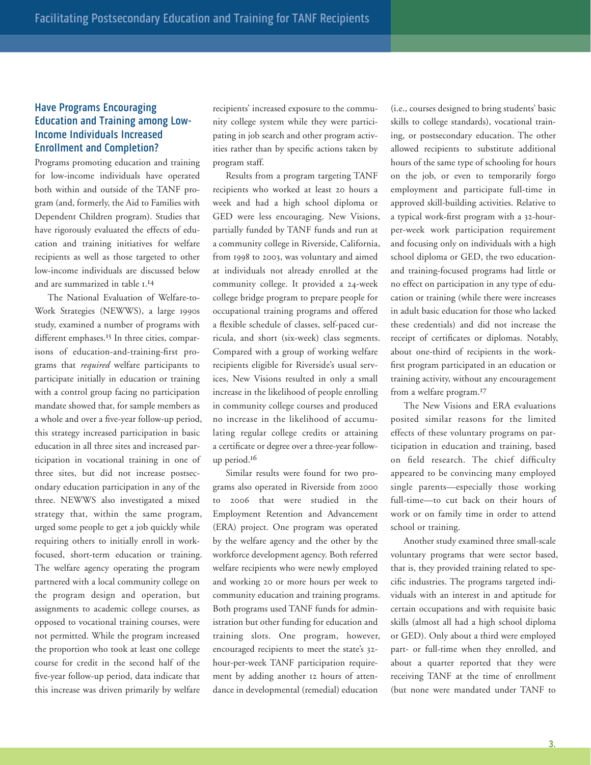# **Have Programs Encouraging education and Training among Lowincome individuals increased enrollment and Completion?**

Programs promoting education and training for low-income individuals have operated both within and outside of the TANF program (and, formerly, the Aid to Families with Dependent Children program). Studies that have rigorously evaluated the effects of education and training initiatives for welfare recipients as well as those targeted to other low-income individuals are discussed below and are summarized in table 1. 14

The National Evaluation of Welfare-to-Work Strategies (NEWWS), a large 1990s study, examined a number of programs with different emphases.<sup>15</sup> In three cities, comparisons of education-and-training-first programs that *required* welfare participants to participate initially in education or training with a control group facing no participation mandate showed that, for sample members as a whole and over a five-year follow-up period, this strategy increased participation in basic education in all three sites and increased participation in vocational training in one of three sites, but did not increase postsecondary education participation in any of the three. NEWWS also investigated a mixed strategy that, within the same program, urged some people to get a job quickly while requiring others to initially enroll in workfocused, short-term education or training. The welfare agency operating the program partnered with a local community college on the program design and operation, but assignments to academic college courses, as opposed to vocational training courses, were not permitted. While the program increased the proportion who took at least one college course for credit in the second half of the five-year follow-up period, data indicate that this increase was driven primarily by welfare

recipients' increased exposure to the community college system while they were participating in job search and other program activities rather than by specific actions taken by program staff.

Results from a program targeting TANF recipients who worked at least 20 hours a week and had a high school diploma or GED were less encouraging. New Visions, partially funded by TANF funds and run at a community college in Riverside, California, from 1998 to 2003, was voluntary and aimed at individuals not already enrolled at the community college. It provided a 24-week college bridge program to prepare people for occupational training programs and offered a flexible schedule of classes, self-paced curricula, and short (six-week) class segments. Compared with a group of working welfare recipients eligible for Riverside's usual services, New Visions resulted in only a small increase in the likelihood of people enrolling in community college courses and produced no increase in the likelihood of accumulating regular college credits or attaining a certificate or degree over a three-year followup period.16

Similar results were found for two programs also operated in Riverside from 2000 to 2006 that were studied in the Employment Retention and Advancement (ERA) project. One program was operated by the welfare agency and the other by the workforce development agency. Both referred welfare recipients who were newly employed and working 20 or more hours per week to community education and training programs. Both programs used TANF funds for administration but other funding for education and training slots. One program, however, encouraged recipients to meet the state's 32 hour-per-week TANF participation requirement by adding another 12 hours of attendance in developmental (remedial) education

(i.e., courses designed to bring students' basic skills to college standards), vocational training, or postsecondary education. The other allowed recipients to substitute additional hours of the same type of schooling for hours on the job, or even to temporarily forgo employment and participate full-time in approved skill-building activities. Relative to a typical work-first program with a 32-hourper-week work participation requirement and focusing only on individuals with a high school diploma or GED, the two educationand training-focused programs had little or no effect on participation in any type of education or training (while there were increases in adult basic education for those who lacked these credentials) and did not increase the receipt of certificates or diplomas. Notably, about one-third of recipients in the workfirst program participated in an education or training activity, without any encouragement from a welfare program.17

The New Visions and ERA evaluations posited similar reasons for the limited effects of these voluntary programs on participation in education and training, based on field research. The chief difficulty appeared to be convincing many employed single parents—especially those working full-time—to cut back on their hours of work or on family time in order to attend school or training.

Another study examined three small-scale voluntary programs that were sector based, that is, they provided training related to specific industries. The programs targeted individuals with an interest in and aptitude for certain occupations and with requisite basic skills (almost all had a high school diploma or GED). Only about a third were employed part- or full-time when they enrolled, and about a quarter reported that they were receiving TANF at the time of enrollment (but none were mandated under TANF to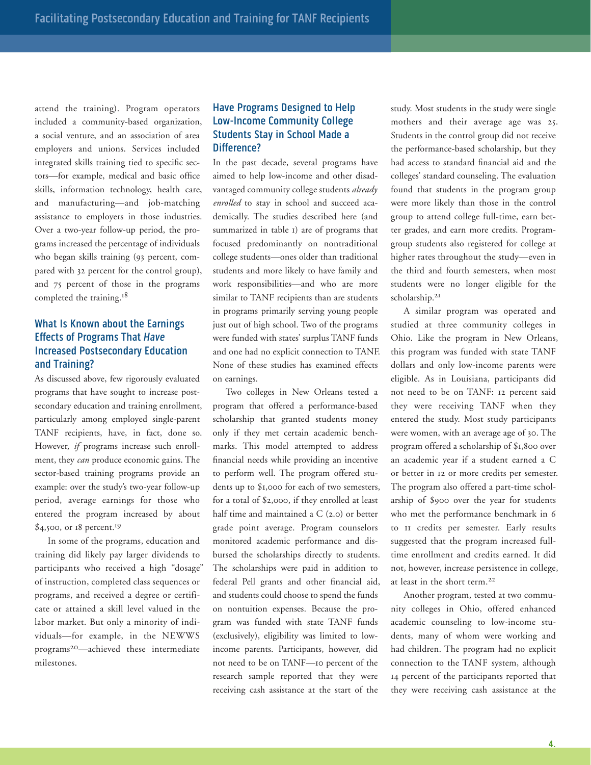attend the training). Program operators included a community-based organization, a social venture, and an association of area employers and unions. Services included integrated skills training tied to specific sectors—for example, medical and basic office skills, information technology, health care, and manufacturing—and job-matching assistance to employers in those industries. Over a two-year follow-up period, the programs increased the percentage of individuals who began skills training (93 percent, compared with 32 percent for the control group), and 75 percent of those in the programs completed the training.<sup>18</sup>

# **What is Known about the earnings effects of Programs That Have Increased Postsecondary Education and Training?**

As discussed above, few rigorously evaluated programs that have sought to increase postsecondary education and training enrollment, particularly among employed single-parent TANF recipients, have, in fact, done so. However, *if* programs increase such enrollment, they *can* produce economic gains. The sector-based training programs provide an example: over the study's two-year follow-up period, average earnings for those who entered the program increased by about \$4,500, or 18 percent.19

In some of the programs, education and training did likely pay larger dividends to participants who received a high "dosage" of instruction, completed class sequences or programs, and received a degree or certificate or attained a skill level valued in the labor market. But only a minority of individuals—for example, in the NEWWS programs20—achieved these intermediate milestones.

## **Have Programs Designed to Help Low-income Community College Students Stay in School Made a Difference?**

In the past decade, several programs have aimed to help low-income and other disadvantaged community college students *already enrolled* to stay in school and succeed academically. The studies described here (and summarized in table 1) are of programs that focused predominantly on nontraditional college students—ones older than traditional students and more likely to have family and work responsibilities—and who are more similar to TANF recipients than are students in programs primarily serving young people just out of high school. Two of the programs were funded with states' surplus TANF funds and one had no explicit connection to TANF. None of these studies has examined effects on earnings.

Two colleges in New Orleans tested a program that offered a performance-based scholarship that granted students money only if they met certain academic benchmarks. This model attempted to address financial needs while providing an incentive to perform well. The program offered students up to \$1,000 for each of two semesters, for a total of \$2,000, if they enrolled at least half time and maintained a C (2.0) or better grade point average. Program counselors monitored academic performance and disbursed the scholarships directly to students. The scholarships were paid in addition to federal Pell grants and other financial aid, and students could choose to spend the funds on nontuition expenses. Because the program was funded with state TANF funds (exclusively), eligibility was limited to lowincome parents. Participants, however, did not need to be on TANF—10 percent of the research sample reported that they were receiving cash assistance at the start of the

study. Most students in the study were single mothers and their average age was 25. Students in the control group did not receive the performance-based scholarship, but they had access to standard financial aid and the colleges' standard counseling. The evaluation found that students in the program group were more likely than those in the control group to attend college full-time, earn better grades, and earn more credits. Programgroup students also registered for college at higher rates throughout the study—even in the third and fourth semesters, when most students were no longer eligible for the scholarship.<sup>21</sup>

A similar program was operated and studied at three community colleges in Ohio. Like the program in New Orleans, this program was funded with state TANF dollars and only low-income parents were eligible. As in Louisiana, participants did not need to be on TANF: 12 percent said they were receiving TANF when they entered the study. Most study participants were women, with an average age of 30. The program offered a scholarship of \$1,800 over an academic year if a student earned a C or better in 12 or more credits per semester. The program also offered a part-time scholarship of \$900 over the year for students who met the performance benchmark in 6 to 11 credits per semester. Early results suggested that the program increased fulltime enrollment and credits earned. It did not, however, increase persistence in college, at least in the short term.22

Another program, tested at two community colleges in Ohio, offered enhanced academic counseling to low-income students, many of whom were working and had children. The program had no explicit connection to the TANF system, although 14 percent of the participants reported that they were receiving cash assistance at the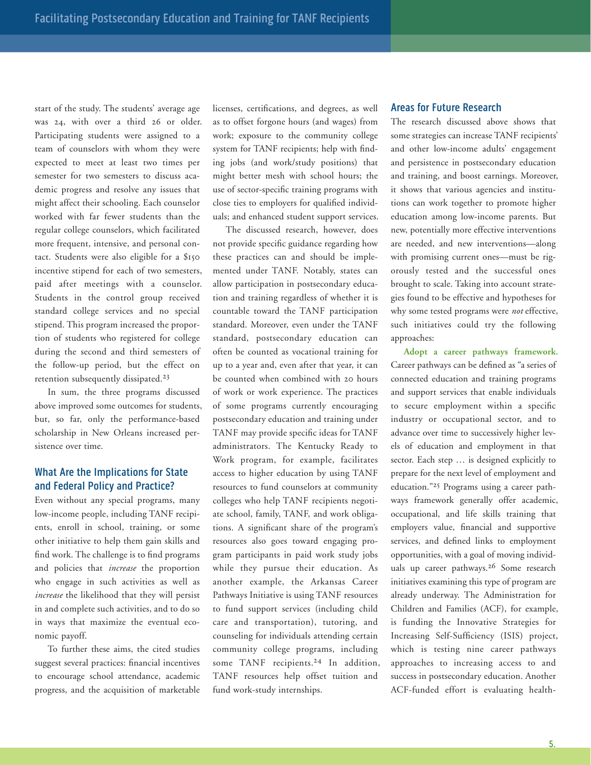start of the study. The students' average age was 24, with over a third 26 or older. Participating students were assigned to a team of counselors with whom they were expected to meet at least two times per semester for two semesters to discuss academic progress and resolve any issues that might affect their schooling. Each counselor worked with far fewer students than the regular college counselors, which facilitated more frequent, intensive, and personal contact. Students were also eligible for a \$150 incentive stipend for each of two semesters, paid after meetings with a counselor. Students in the control group received standard college services and no special stipend. This program increased the proportion of students who registered for college during the second and third semesters of the follow-up period, but the effect on retention subsequently dissipated.23

In sum, the three programs discussed above improved some outcomes for students, but, so far, only the performance-based scholarship in New Orleans increased persistence over time.

## **What Are the implications for State and federal Policy and Practice?**

Even without any special programs, many low-income people, including TANF recipients, enroll in school, training, or some other initiative to help them gain skills and find work. The challenge is to find programs and policies that *increase* the proportion who engage in such activities as well as *increase* the likelihood that they will persist in and complete such activities, and to do so in ways that maximize the eventual economic payoff.

To further these aims, the cited studies suggest several practices: financial incentives to encourage school attendance, academic progress, and the acquisition of marketable licenses, certifications, and degrees, as well as to offset forgone hours (and wages) from work; exposure to the community college system for TANF recipients; help with finding jobs (and work/study positions) that might better mesh with school hours; the use of sector-specific training programs with close ties to employers for qualified individuals; and enhanced student support services.

The discussed research, however, does not provide specific guidance regarding how these practices can and should be implemented under TANF. Notably, states can allow participation in postsecondary education and training regardless of whether it is countable toward the TANF participation standard. Moreover, even under the TANF standard, postsecondary education can often be counted as vocational training for up to a year and, even after that year, it can be counted when combined with 20 hours of work or work experience. The practices of some programs currently encouraging postsecondary education and training under TANF may provide specific ideas for TANF administrators. The Kentucky Ready to Work program, for example, facilitates access to higher education by using TANF resources to fund counselors at community colleges who help TANF recipients negotiate school, family, TANF, and work obligations. A significant share of the program's resources also goes toward engaging program participants in paid work study jobs while they pursue their education. As another example, the Arkansas Career Pathways Initiative is using TANF resources to fund support services (including child care and transportation), tutoring, and counseling for individuals attending certain community college programs, including some TANF recipients.<sup>24</sup> In addition, TANF resources help offset tuition and fund work-study internships.

#### **Areas for Future Research**

The research discussed above shows that some strategies can increase TANF recipients' and other low-income adults' engagement and persistence in postsecondary education and training, and boost earnings. Moreover, it shows that various agencies and institutions can work together to promote higher education among low-income parents. But new, potentially more effective interventions are needed, and new interventions—along with promising current ones—must be rigorously tested and the successful ones brought to scale. Taking into account strategies found to be effective and hypotheses for why some tested programs were *not* effective, such initiatives could try the following approaches:

**Adopt a career pathways framework.** Career pathways can be defined as "a series of connected education and training programs and support services that enable individuals to secure employment within a specific industry or occupational sector, and to advance over time to successively higher levels of education and employment in that sector. Each step … is designed explicitly to prepare for the next level of employment and education."25 Programs using a career pathways framework generally offer academic, occupational, and life skills training that employers value, financial and supportive services, and defined links to employment opportunities, with a goal of moving individuals up career pathways.26 Some research initiatives examining this type of program are already underway. The Administration for Children and Families (ACF), for example, is funding the Innovative Strategies for Increasing Self-Sufficiency (ISIS) project, which is testing nine career pathways approaches to increasing access to and success in postsecondary education. Another ACF-funded effort is evaluating health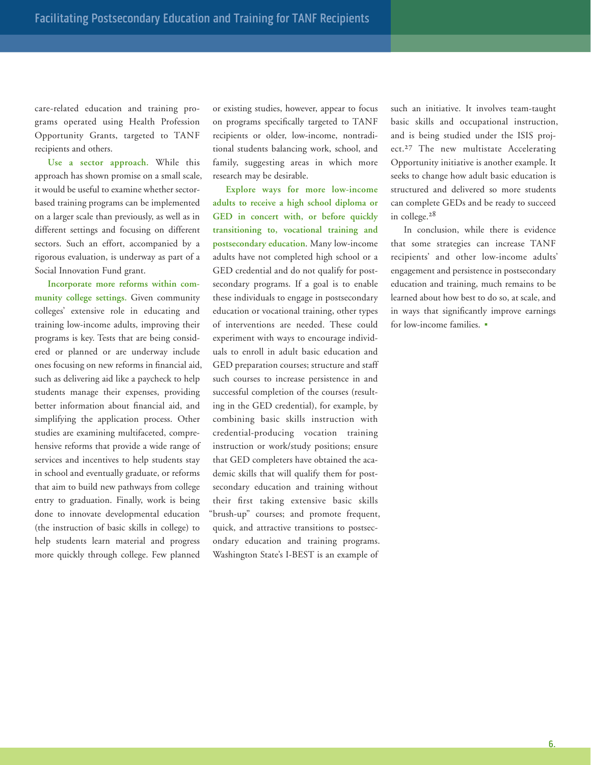care-related education and training programs operated using Health Profession Opportunity Grants, targeted to TANF recipients and others.

**Use a sector approach.** While this approach has shown promise on a small scale, it would be useful to examine whether sectorbased training programs can be implemented on a larger scale than previously, as well as in different settings and focusing on different sectors. Such an effort, accompanied by a rigorous evaluation, is underway as part of a Social Innovation Fund grant.

**Incorporate more reforms within community college settings.** Given community colleges' extensive role in educating and training low-income adults, improving their programs is key. Tests that are being considered or planned or are underway include ones focusing on new reforms in financial aid, such as delivering aid like a paycheck to help students manage their expenses, providing better information about financial aid, and simplifying the application process. Other studies are examining multifaceted, comprehensive reforms that provide a wide range of services and incentives to help students stay in school and eventually graduate, or reforms that aim to build new pathways from college entry to graduation. Finally, work is being done to innovate developmental education (the instruction of basic skills in college) to help students learn material and progress more quickly through college. Few planned

or existing studies, however, appear to focus on programs specifically targeted to TANF recipients or older, low-income, nontraditional students balancing work, school, and family, suggesting areas in which more research may be desirable.

**Explore ways for more low-income adults to receive a high school diploma or GED in concert with, or before quickly transitioning to, vocational training and postsecondary education**. Many low-income adults have not completed high school or a GED credential and do not qualify for postsecondary programs. If a goal is to enable these individuals to engage in postsecondary education or vocational training, other types of interventions are needed. These could experiment with ways to encourage individuals to enroll in adult basic education and GED preparation courses; structure and staff such courses to increase persistence in and successful completion of the courses (resulting in the GED credential), for example, by combining basic skills instruction with credential-producing vocation training instruction or work/study positions; ensure that GED completers have obtained the academic skills that will qualify them for postsecondary education and training without their first taking extensive basic skills "brush-up" courses; and promote frequent, quick, and attractive transitions to postsecondary education and training programs. Washington State's I-BEST is an example of

such an initiative. It involves team-taught basic skills and occupational instruction, and is being studied under the ISIS project.<sup>27</sup> The new multistate Accelerating Opportunity initiative is another example. It seeks to change how adult basic education is structured and delivered so more students can complete GEDs and be ready to succeed in college.28

In conclusion, while there is evidence that some strategies can increase TANF recipients' and other low-income adults' engagement and persistence in postsecondary education and training, much remains to be learned about how best to do so, at scale, and in ways that significantly improve earnings for low-income families. •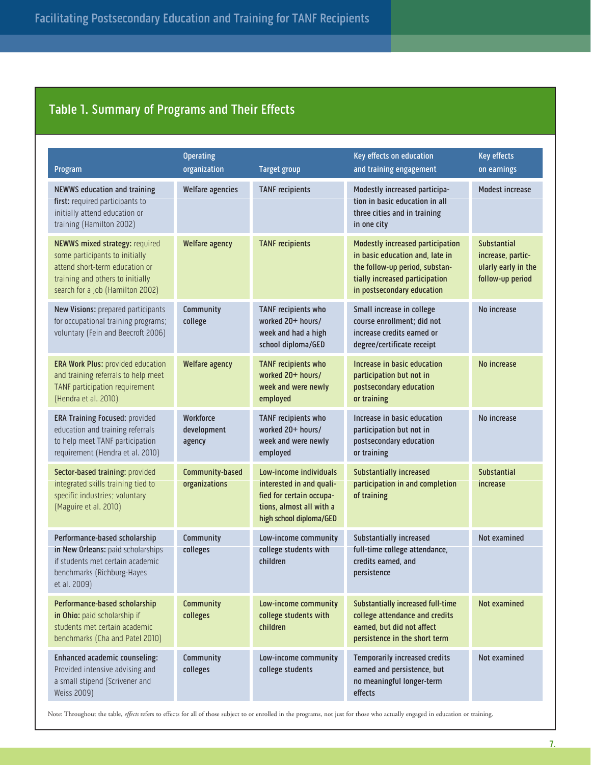# **Table 1. Summary of Programs and Their effects**

| Program                                                                                                                                                                    | <b>Operating</b><br>organization   | <b>Target group</b>                                                                                                                   | Key effects on education<br>and training engagement                                                                                                                   | <b>Key effects</b><br>on earnings                                                  |
|----------------------------------------------------------------------------------------------------------------------------------------------------------------------------|------------------------------------|---------------------------------------------------------------------------------------------------------------------------------------|-----------------------------------------------------------------------------------------------------------------------------------------------------------------------|------------------------------------------------------------------------------------|
| NEWWS education and training<br>first: required participants to<br>initially attend education or<br>training (Hamilton 2002)                                               | <b>Welfare agencies</b>            | <b>TANF</b> recipients                                                                                                                | Modestly increased participa-<br>tion in basic education in all<br>three cities and in training<br>in one city                                                        | <b>Modest increase</b>                                                             |
| NEWWS mixed strategy: required<br>some participants to initially<br>attend short-term education or<br>training and others to initially<br>search for a job (Hamilton 2002) | <b>Welfare agency</b>              | <b>TANF</b> recipients                                                                                                                | Modestly increased participation<br>in basic education and, late in<br>the follow-up period, substan-<br>tially increased participation<br>in postsecondary education | <b>Substantial</b><br>increase, partic-<br>ularly early in the<br>follow-up period |
| New Visions: prepared participants<br>for occupational training programs;<br>voluntary (Fein and Beecroft 2006)                                                            | Community<br>college               | TANF recipients who<br>worked 20+ hours/<br>week and had a high<br>school diploma/GED                                                 | Small increase in college<br>course enrollment; did not<br>increase credits earned or<br>degree/certificate receipt                                                   | No increase                                                                        |
| <b>ERA Work Plus: provided education</b><br>and training referrals to help meet<br>TANF participation requirement<br>(Hendra et al. 2010)                                  | <b>Welfare agency</b>              | TANF recipients who<br>worked 20+ hours/<br>week and were newly<br>employed                                                           | Increase in basic education<br>participation but not in<br>postsecondary education<br>or training                                                                     | No increase                                                                        |
| <b>ERA Training Focused: provided</b><br>education and training referrals<br>to help meet TANF participation<br>requirement (Hendra et al. 2010)                           | Workforce<br>development<br>agency | TANF recipients who<br>worked 20+ hours/<br>week and were newly<br>employed                                                           | Increase in basic education<br>participation but not in<br>postsecondary education<br>or training                                                                     | No increase                                                                        |
| Sector-based training: provided<br>integrated skills training tied to<br>specific industries; voluntary<br>(Maguire et al. 2010)                                           | Community-based<br>organizations   | Low-income individuals<br>interested in and quali-<br>fied for certain occupa-<br>tions, almost all with a<br>high school diploma/GED | Substantially increased<br>participation in and completion<br>of training                                                                                             | <b>Substantial</b><br>increase                                                     |
| Performance-based scholarship<br>in New Orleans: paid scholarships<br>if students met certain academic<br>benchmarks (Richburg-Hayes<br>et al. 2009)                       | Community<br>colleges              | Low-income community<br>college students with<br>children                                                                             | Substantially increased<br>full-time college attendance,<br>credits earned, and<br>persistence                                                                        | Not examined                                                                       |
| Performance-based scholarship<br>in Ohio: paid scholarship if<br>students met certain academic<br>benchmarks (Cha and Patel 2010)                                          | Community<br>colleges              | Low-income community<br>college students with<br>children                                                                             | Substantially increased full-time<br>college attendance and credits<br>earned, but did not affect<br>persistence in the short term                                    | Not examined                                                                       |
| Enhanced academic counseling:<br>Provided intensive advising and<br>a small stipend (Scrivener and<br><b>Weiss 2009)</b>                                                   | Community<br>colleges              | Low-income community<br>college students                                                                                              | <b>Temporarily increased credits</b><br>earned and persistence, but<br>no meaningful longer-term<br>effects                                                           | Not examined                                                                       |

Note: Throughout the table, *effects* refers to effects for all of those subject to or enrolled in the programs, not just for those who actually engaged in education or training.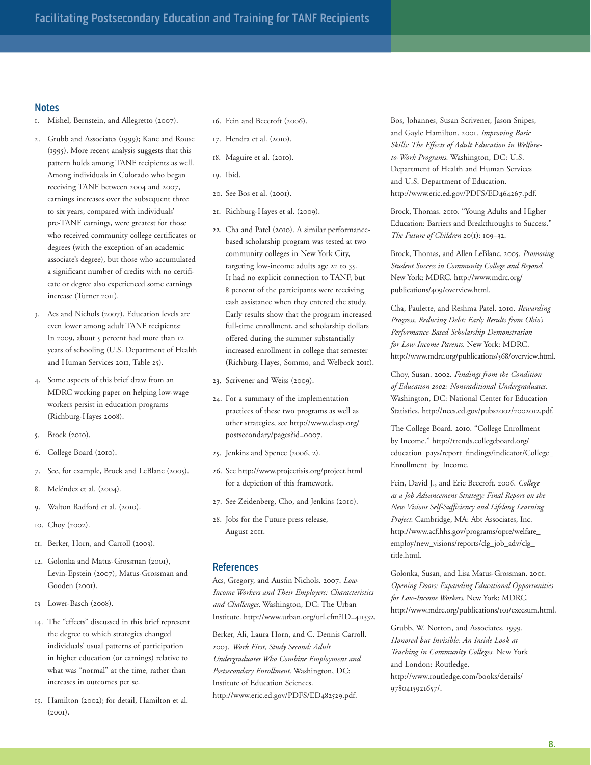**Notes**

- 1. Mishel, Bernstein, and Allegretto (2007).
- 2. Grubb and Associates (1999); Kane and Rouse (1995). More recent analysis suggests that this pattern holds among TANF recipients as well. Among individuals in Colorado who began receiving TANF between 2004 and 2007, earnings increases over the subsequent three to six years, compared with individuals' pre-TANF earnings, were greatest for those who received community college certificates or degrees (with the exception of an academic associate's degree), but those who accumulated a significant number of credits with no certificate or degree also experienced some earnings increase (Turner 2011).
- 3. Acs and Nichols (2007). Education levels are even lower among adult TANF recipients: In 2009, about 5 percent had more than 12 years of schooling (U.S. Department of Health and Human Services 2011, Table 25).
- 4. Some aspects of this brief draw from an MDRC working paper on helping low-wage workers persist in education programs (Richburg-Hayes 2008).
- 5. Brock (2010).
- 6. College Board (2010).
- 7. See, for example, Brock and LeBlanc (2005).
- 8. Meléndez et al. (2004).
- 9. Walton Radford et al. (2010).
- 10. Choy (2002).
- 11. Berker, Horn, and Carroll (2003).
- 12. Golonka and Matus-Grossman (2001), Levin-Epstein (2007), Matus-Grossman and Gooden (2001).
- 13 Lower-Basch (2008).
- 14. The "effects" discussed in this brief represent the degree to which strategies changed individuals' usual patterns of participation in higher education (or earnings) relative to what was "normal" at the time, rather than increases in outcomes per se.
- 15. Hamilton (2002); for detail, Hamilton et al. (2001).
- 16. Fein and Beecroft (2006).
- 17. Hendra et al. (2010).
- 18. Maguire et al. (2010).
- 19. Ibid.
- 20. See Bos et al. (2001).
- 21. Richburg-Hayes et al. (2009).
- 22. Cha and Patel (2010). A similar performancebased scholarship program was tested at two community colleges in New York City, targeting low-income adults age 22 to 35. It had no explicit connection to TANF, but 8 percent of the participants were receiving cash assistance when they entered the study. Early results show that the program increased full-time enrollment, and scholarship dollars offered during the summer substantially increased enrollment in college that semester (Richburg-Hayes, Sommo, and Welbeck 2011).
- 23. Scrivener and Weiss (2009).
- 24. For a summary of the implementation practices of these two programs as well as other strategies, see http://www.clasp.org/ postsecondary/pages?id=0007.
- 25. Jenkins and Spence (2006, 2).
- 26. See http://www.projectisis.org/project.html for a depiction of this framework.
- 27. See Zeidenberg, Cho, and Jenkins (2010).
- 28. Jobs for the Future press release, August 2011.

#### **references**

Acs, Gregory, and Austin Nichols. 2007. *Low-Income Workers and Their Employers: Characteristics and Challenges.* Washington, DC: The Urban Institute. http://www.urban.org/url.cfm?ID=411532.

Berker, Ali, Laura Horn, and C. Dennis Carroll. 2003. *Work First, Study Second: Adult Undergraduates Who Combine Employment and Postsecondary Enrollment.* Washington, DC: Institute of Education Sciences. http://www.eric.ed.gov/PDFS/ED482529.pdf.

Bos, Johannes, Susan Scrivener, Jason Snipes, and Gayle Hamilton. 2001. *Improving Basic Skills: The Effects of Adult Education in Welfareto-Work Programs.* Washington, DC: U.S. Department of Health and Human Services and U.S. Department of Education. http://www.eric.ed.gov/PDFS/ED464267.pdf.

Brock, Thomas. 2010. "Young Adults and Higher Education: Barriers and Breakthroughs to Success." *The Future of Children* 20(1): 109–32.

Brock, Thomas, and Allen LeBlanc. 2005. *Promoting Student Success in Community College and Beyond.* New York: MDRC. http://www.mdrc.org/ publications/409/overview.html.

Cha, Paulette, and Reshma Patel. 2010. *Rewarding Progress, Reducing Debt: Early Results from Ohio's Performance-Based Scholarship Demonstration for Low-Income Parents.* New York: MDRC. http://www.mdrc.org/publications/568/overview.html.

Choy, Susan. 2002. *Findings from the Condition of Education 2002: Nontraditional Undergraduates.* Washington, DC: National Center for Education Statistics. http://nces.ed.gov/pubs2002/2002012.pdf.

The College Board. 2010. "College Enrollment by Income." http://trends.collegeboard.org/ education\_pays/report\_findings/indicator/College\_ Enrollment\_by\_Income.

Fein, David J., and Eric Beecroft. 2006. *College as a Job Advancement Strategy: Final Report on the New Visions Self-Sufficiency and Lifelong Learning Project.* Cambridge, MA: Abt Associates, Inc. http://www.acf.hhs.gov/programs/opre/welfare\_ employ/new\_visions/reports/clg\_job\_adv/clg\_ title.html.

Golonka, Susan, and Lisa Matus-Grossman. 2001. *Opening Doors: Expanding Educational Opportunities for Low-Income Workers.* New York: MDRC. http://www.mdrc.org/publications/101/execsum.html.

Grubb, W. Norton, and Associates. 1999. *Honored but Invisible: An Inside Look at Teaching in Community Colleges.* New York and London: Routledge. http://www.routledge.com/books/details/ 9780415921657/.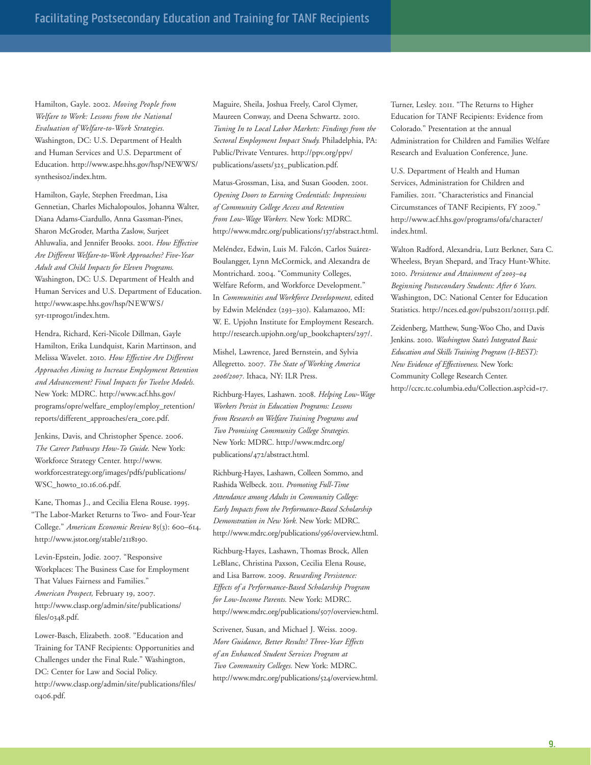Hamilton, Gayle. 2002. *Moving People from Welfare to Work: Lessons from the National Evaluation of Welfare-to-Work Strategies.* Washington, DC: U.S. Department of Health and Human Services and U.S. Department of Education. http://www.aspe.hhs.gov/hsp/NEWWS/ synthesis02/index.htm.

Hamilton, Gayle, Stephen Freedman, Lisa Gennetian, Charles Michalopoulos, Johanna Walter, Diana Adams-Ciardullo, Anna Gassman-Pines, Sharon McGroder, Martha Zaslow, Surjeet Ahluwalia, and Jennifer Brooks. 2001. *How Effective Are Different Welfare-to-Work Approaches? Five-Year Adult and Child Impacts for Eleven Programs.* Washington, DC: U.S. Department of Health and Human Services and U.S. Department of Education. http://www.aspe.hhs.gov/hsp/NEWWS/ 5yr-11prog01/index.htm.

Hendra, Richard, Keri-Nicole Dillman, Gayle Hamilton, Erika Lundquist, Karin Martinson, and Melissa Wavelet. 2010. *How Effective Are Different Approaches Aiming to Increase Employment Retention and Advancement? Final Impacts for Twelve Models.* New York: MDRC. http://www.acf.hhs.gov/ programs/opre/welfare\_employ/employ\_retention/ reports/different\_approaches/era\_core.pdf.

Jenkins, Davis, and Christopher Spence. 2006. *The Career Pathways How-To Guide.* New York: Workforce Strategy Center. http://www. workforcestrategy.org/images/pdfs/publications/ WSC\_howto\_10.16.06.pdf.

Kane, Thomas J., and Cecilia Elena Rouse. 1995. "The Labor-Market Returns to Two- and Four-Year College." *American Economic Review* 85(3): 600–614. http://www.jstor.org/stable/2118190.

Levin-Epstein, Jodie. 2007. "Responsive Workplaces: The Business Case for Employment That Values Fairness and Families." *American Prospect,* February 19, 2007. http://www.clasp.org/admin/site/publications/ files/0348.pdf.

Lower-Basch, Elizabeth. 2008. "Education and Training for TANF Recipients: Opportunities and Challenges under the Final Rule." Washington, DC: Center for Law and Social Policy. http://www.clasp.org/admin/site/publications/files/ 0406.pdf.

Maguire, Sheila, Joshua Freely, Carol Clymer, Maureen Conway, and Deena Schwartz. 2010. *Tuning In to Local Labor Markets: Findings from the Sectoral Employment Impact Study.* Philadelphia, PA: Public/Private Ventures. http://ppv.org/ppv/ publications/assets/325\_publication.pdf.

Matus-Grossman, Lisa, and Susan Gooden. 2001. *Opening Doors to Earning Credentials: Impressions of Community College Access and Retention from Low-Wage Workers.* New York: MDRC. http://www.mdrc.org/publications/137/abstract.html.

Meléndez, Edwin, Luis M. Falcón, Carlos Suárez-Boulangger, Lynn McCormick, and Alexandra de Montrichard. 2004. "Community Colleges, Welfare Reform, and Workforce Development." In *Communities and Workforce Development,* edited by Edwin Meléndez (293-330). Kalamazoo, MI: W. E. Upjohn Institute for Employment Research. http://research.upjohn.org/up\_bookchapters/297/.

Mishel, Lawrence, Jared Bernstein, and Sylvia Allegretto. 2007. *The State of Working America 2006/2007.* Ithaca, NY: ILR Press.

Richburg-Hayes, Lashawn. 2008. *Helping Low-Wage Workers Persist in Education Programs: Lessons from Research on Welfare Training Programs and Two Promising Community College Strategies.* New York: MDRC. http://www.mdrc.org/ publications/472/abstract.html.

Richburg-Hayes, Lashawn, Colleen Sommo, and Rashida Welbeck. 2011. *Promoting Full-Time Attendance among Adults in Community College: Early Impacts from the Performance-Based Scholarship Demonstration in New York.* New York: MDRC. http://www.mdrc.org/publications/596/overview.html.

Richburg-Hayes, Lashawn, Thomas Brock, Allen LeBlanc, Christina Paxson, Cecilia Elena Rouse, and Lisa Barrow. 2009. *Rewarding Persistence: Effects of a Performance-Based Scholarship Program for Low-Income Parents.* New York: MDRC. http://www.mdrc.org/publications/507/overview.html.

Scrivener, Susan, and Michael J. Weiss. 2009. *More Guidance, Better Results? Three-Year Effects of an Enhanced Student Services Program at Two Community Colleges.* New York: MDRC. http://www.mdrc.org/publications/524/overview.html. Turner, Lesley. 2011. "The Returns to Higher Education for TANF Recipients: Evidence from Colorado." Presentation at the annual Administration for Children and Families Welfare Research and Evaluation Conference, June.

U.S. Department of Health and Human Services, Administration for Children and Families. 2011. "Characteristics and Financial Circumstances of TANF Recipients, FY 2009." http://www.acf.hhs.gov/programs/ofa/character/ index.html.

Walton Radford, Alexandria, Lutz Berkner, Sara C. Wheeless, Bryan Shepard, and Tracy Hunt-White. 2010. *Persistence and Attainment of 2003–04 Beginning Postsecondary Students: After 6 Years.* Washington, DC: National Center for Education Statistics. http://nces.ed.gov/pubs2011/2011151.pdf.

Zeidenberg, Matthew, Sung-Woo Cho, and Davis Jenkins. 2010. *Washington State's Integrated Basic Education and Skills Training Program (I-BEST): New Evidence of Effectiveness.* New York: Community College Research Center. http://ccrc.tc.columbia.edu/Collection.asp?cid=17.